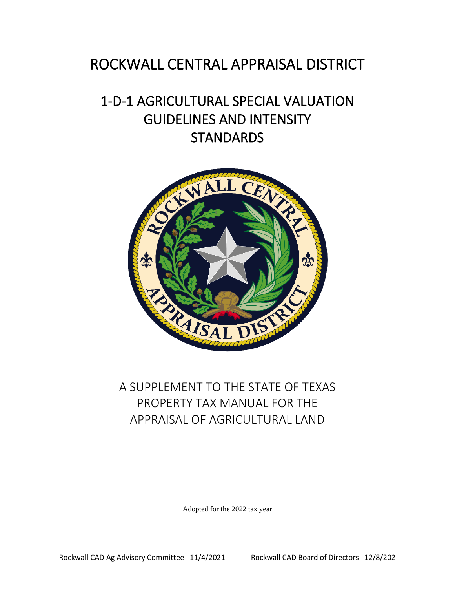# ROCKWALL CENTRAL APPRAISAL DISTRICT

# 1-D-1 AGRICULTURAL SPECIAL VALUATION GUIDELINES AND INTENSITY **STANDARDS**



# A SUPPLEMENT TO THE STATE OF TEXAS PROPERTY TAX MANUAL FOR THE APPRAISAL OF AGRICULTURAL LAND

Adopted for the 2022 tax year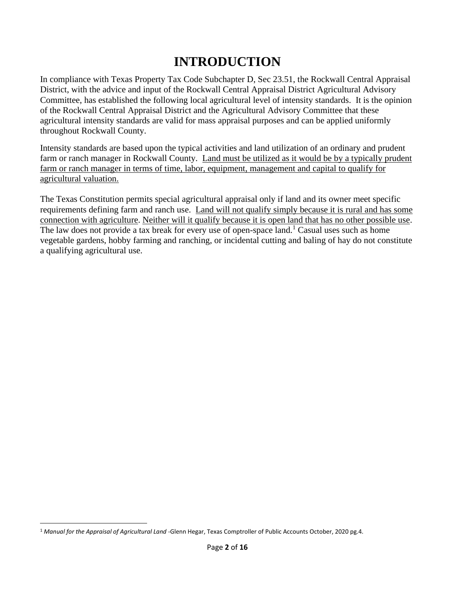# **INTRODUCTION**

In compliance with Texas Property Tax Code Subchapter D, Sec 23.51, the Rockwall Central Appraisal District, with the advice and input of the Rockwall Central Appraisal District Agricultural Advisory Committee, has established the following local agricultural level of intensity standards. It is the opinion of the Rockwall Central Appraisal District and the Agricultural Advisory Committee that these agricultural intensity standards are valid for mass appraisal purposes and can be applied uniformly throughout Rockwall County.

Intensity standards are based upon the typical activities and land utilization of an ordinary and prudent farm or ranch manager in Rockwall County. Land must be utilized as it would be by a typically prudent farm or ranch manager in terms of time, labor, equipment, management and capital to qualify for agricultural valuation.

The Texas Constitution permits special agricultural appraisal only if land and its owner meet specific requirements defining farm and ranch use. Land will not qualify simply because it is rural and has some connection with agriculture. Neither will it qualify because it is open land that has no other possible use. The law does not provide a tax break for every use of open-space land.<sup>1</sup> Casual uses such as home vegetable gardens, hobby farming and ranching, or incidental cutting and baling of hay do not constitute a qualifying agricultural use.

<sup>1</sup> *Manual for the Appraisal of Agricultural Land* -Glenn Hegar, Texas Comptroller of Public Accounts October, 2020 pg.4.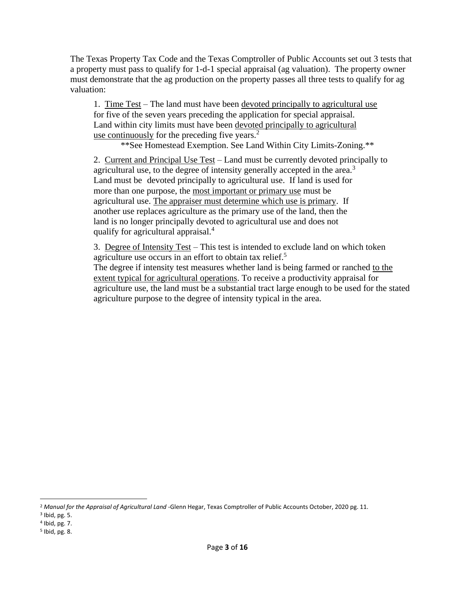The Texas Property Tax Code and the Texas Comptroller of Public Accounts set out 3 tests that a property must pass to qualify for 1-d-1 special appraisal (ag valuation). The property owner must demonstrate that the ag production on the property passes all three tests to qualify for ag valuation:

1. Time Test – The land must have been devoted principally to agricultural use for five of the seven years preceding the application for special appraisal. Land within city limits must have been devoted principally to agricultural use continuously for the preceding five years.<sup>2</sup>

\*\*See Homestead Exemption. See Land Within City Limits-Zoning.\*\*

2. Current and Principal Use Test – Land must be currently devoted principally to agricultural use, to the degree of intensity generally accepted in the area.<sup>3</sup> Land must be devoted principally to agricultural use. If land is used for more than one purpose, the most important or primary use must be agricultural use. The appraiser must determine which use is primary. If another use replaces agriculture as the primary use of the land, then the land is no longer principally devoted to agricultural use and does not qualify for agricultural appraisal.<sup>4</sup>

3. Degree of Intensity Test – This test is intended to exclude land on which token agriculture use occurs in an effort to obtain tax relief.<sup>5</sup>

The degree if intensity test measures whether land is being farmed or ranched to the extent typical for agricultural operations. To receive a productivity appraisal for agriculture use, the land must be a substantial tract large enough to be used for the stated agriculture purpose to the degree of intensity typical in the area.

<sup>2</sup> *Manual for the Appraisal of Agricultural Land* -Glenn Hegar, Texas Comptroller of Public Accounts October, 2020 pg. 11.

<sup>3</sup> Ibid, pg. 5.

<sup>4</sup> Ibid, pg. 7.

<sup>5</sup> Ibid, pg. 8.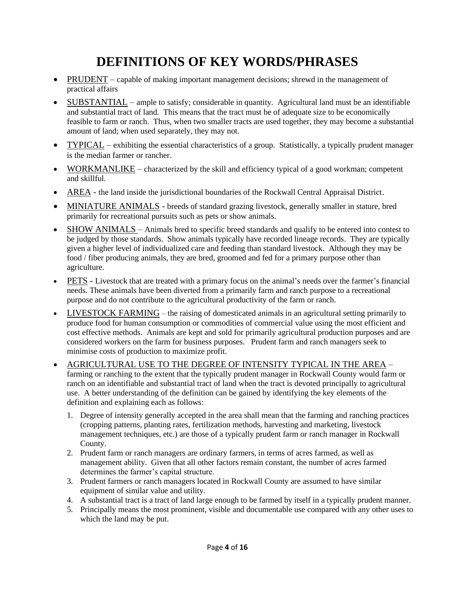# **DEFINITIONS OF KEY WORDS/PHRASES**

- PRUDENT capable of making important management decisions; shrewd in the management of practical affairs
- SUBSTANTIAL ample to satisfy; considerable in quantity. Agricultural land must be an identifiable and substantial tract of land. This means that the tract must be of adequate size to be economically feasible to farm or ranch. Thus, when two smaller tracts are used together, they may become a substantial amount of land; when used separately, they may not.
- TYPICAL exhibiting the essential characteristics of a group. Statistically, a typically prudent manager is the median farmer or rancher.
- WORKMANLIKE characterized by the skill and efficiency typical of a good workman; competent and skillful.
- AREA the land inside the jurisdictional boundaries of the Rockwall Central Appraisal District.
- MINIATURE ANIMALS breeds of standard grazing livestock, generally smaller in stature, bred primarily for recreational pursuits such as pets or show animals.
- SHOW ANIMALS Animals bred to specific breed standards and qualify to be entered into contest to be judged by those standards. Show animals typically have recorded lineage records. They are typically given a higher level of individualized care and feeding than standard livestock. Although they may be food / fiber producing animals, they are bred, groomed and fed for a primary purpose other than agriculture.
- PETS Livestock that are treated with a primary focus on the animal's needs over the farmer's financial needs. These animals have been diverted from a primarily farm and ranch purpose to a recreational purpose and do not contribute to the agricultural productivity of the farm or ranch.
- LIVESTOCK FARMING the raising of domesticated animals in an agricultural setting primarily to produce food for human consumption or commodities of commercial value using the most efficient and cost effective methods. Animals are kept and sold for primarily agricultural production purposes and are considered workers on the farm for business purposes. Prudent farm and ranch managers seek to minimise costs of production to maximize profit.
- AGRICULTURAL USE TO THE DEGREE OF INTENSITY TYPICAL IN THE AREA farming or ranching to the extent that the typically prudent manager in Rockwall County would farm or ranch on an identifiable and substantial tract of land when the tract is devoted principally to agricultural use. A better understanding of the definition can be gained by identifying the key elements of the definition and explaining each as follows:
	- 1. Degree of intensity generally accepted in the area shall mean that the farming and ranching practices (cropping patterns, planting rates, fertilization methods, harvesting and marketing, livestock management techniques, etc.) are those of a typically prudent farm or ranch manager in Rockwall County.
	- 2. Prudent farm or ranch managers are ordinary farmers, in terms of acres farmed, as well as management ability. Given that all other factors remain constant, the number of acres farmed determines the farmer's capital structure.
	- 3. Prudent farmers or ranch managers located in Rockwall County are assumed to have similar equipment of similar value and utility.
	- 4. A substantial tract is a tract of land large enough to be farmed by itself in a typically prudent manner.
	- 5. Principally means the most prominent, visible and documentable use compared with any other uses to which the land may be put.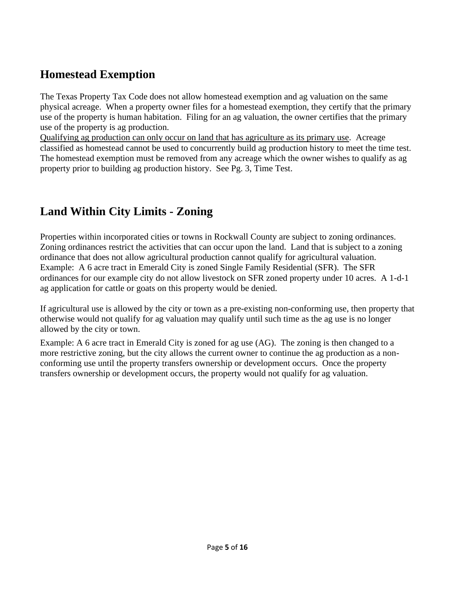## **Homestead Exemption**

The Texas Property Tax Code does not allow homestead exemption and ag valuation on the same physical acreage. When a property owner files for a homestead exemption, they certify that the primary use of the property is human habitation. Filing for an ag valuation, the owner certifies that the primary use of the property is ag production.

Qualifying ag production can only occur on land that has agriculture as its primary use. Acreage classified as homestead cannot be used to concurrently build ag production history to meet the time test. The homestead exemption must be removed from any acreage which the owner wishes to qualify as ag property prior to building ag production history. See Pg. 3, Time Test.

## **Land Within City Limits - Zoning**

Properties within incorporated cities or towns in Rockwall County are subject to zoning ordinances. Zoning ordinances restrict the activities that can occur upon the land. Land that is subject to a zoning ordinance that does not allow agricultural production cannot qualify for agricultural valuation. Example: A 6 acre tract in Emerald City is zoned Single Family Residential (SFR). The SFR ordinances for our example city do not allow livestock on SFR zoned property under 10 acres. A 1-d-1 ag application for cattle or goats on this property would be denied.

If agricultural use is allowed by the city or town as a pre-existing non-conforming use, then property that otherwise would not qualify for ag valuation may qualify until such time as the ag use is no longer allowed by the city or town.

Example: A 6 acre tract in Emerald City is zoned for ag use (AG). The zoning is then changed to a more restrictive zoning, but the city allows the current owner to continue the ag production as a nonconforming use until the property transfers ownership or development occurs. Once the property transfers ownership or development occurs, the property would not qualify for ag valuation.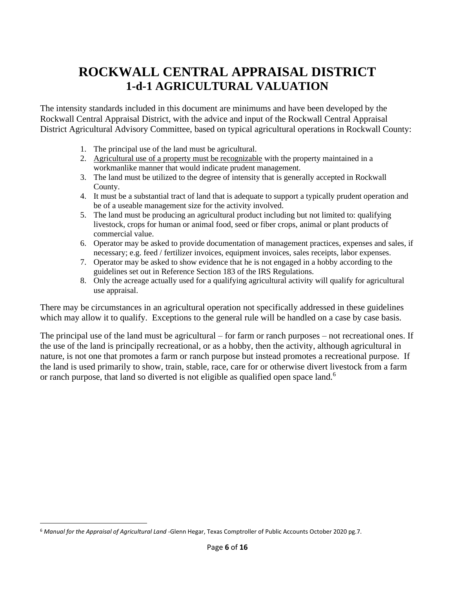## **ROCKWALL CENTRAL APPRAISAL DISTRICT 1-d-1 AGRICULTURAL VALUATION**

The intensity standards included in this document are minimums and have been developed by the Rockwall Central Appraisal District, with the advice and input of the Rockwall Central Appraisal District Agricultural Advisory Committee, based on typical agricultural operations in Rockwall County:

- 1. The principal use of the land must be agricultural.
- 2. Agricultural use of a property must be recognizable with the property maintained in a workmanlike manner that would indicate prudent management.
- 3. The land must be utilized to the degree of intensity that is generally accepted in Rockwall County.
- 4. It must be a substantial tract of land that is adequate to support a typically prudent operation and be of a useable management size for the activity involved.
- 5. The land must be producing an agricultural product including but not limited to: qualifying livestock, crops for human or animal food, seed or fiber crops, animal or plant products of commercial value.
- 6. Operator may be asked to provide documentation of management practices, expenses and sales, if necessary; e.g. feed / fertilizer invoices, equipment invoices, sales receipts, labor expenses.
- 7. Operator may be asked to show evidence that he is not engaged in a hobby according to the guidelines set out in Reference Section 183 of the IRS Regulations.
- 8. Only the acreage actually used for a qualifying agricultural activity will qualify for agricultural use appraisal.

There may be circumstances in an agricultural operation not specifically addressed in these guidelines which may allow it to qualify. Exceptions to the general rule will be handled on a case by case basis*.*

The principal use of the land must be agricultural – for farm or ranch purposes – not recreational ones. If the use of the land is principally recreational, or as a hobby, then the activity, although agricultural in nature, is not one that promotes a farm or ranch purpose but instead promotes a recreational purpose. If the land is used primarily to show, train, stable, race, care for or otherwise divert livestock from a farm or ranch purpose, that land so diverted is not eligible as qualified open space land.<sup>6</sup>

<sup>6</sup> *Manual for the Appraisal of Agricultural Land* -Glenn Hegar, Texas Comptroller of Public Accounts October 2020 pg.7.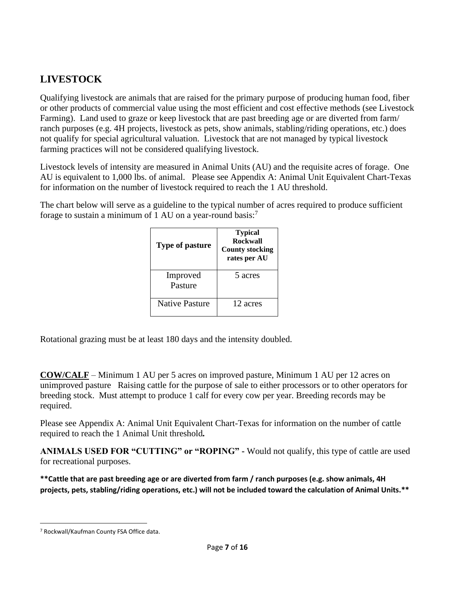## **LIVESTOCK**

Qualifying livestock are animals that are raised for the primary purpose of producing human food, fiber or other products of commercial value using the most efficient and cost effective methods (see Livestock Farming). Land used to graze or keep livestock that are past breeding age or are diverted from farm/ ranch purposes (e.g. 4H projects, livestock as pets, show animals, stabling/riding operations, etc.) does not qualify for special agricultural valuation. Livestock that are not managed by typical livestock farming practices will not be considered qualifying livestock.

Livestock levels of intensity are measured in Animal Units (AU) and the requisite acres of forage. One AU is equivalent to 1,000 lbs. of animal. Please see Appendix A: Animal Unit Equivalent Chart-Texas for information on the number of livestock required to reach the 1 AU threshold.

The chart below will serve as a guideline to the typical number of acres required to produce sufficient forage to sustain a minimum of 1 AU on a year-round basis:<sup>7</sup>

| <b>Type of pasture</b> | <b>Typical</b><br><b>Rockwall</b><br><b>County stocking</b><br>rates per AU |
|------------------------|-----------------------------------------------------------------------------|
| Improved<br>Pasture    | 5 acres                                                                     |
| <b>Native Pasture</b>  | 12 acres                                                                    |

Rotational grazing must be at least 180 days and the intensity doubled.

**COW/CALF** – Minimum 1 AU per 5 acres on improved pasture, Minimum 1 AU per 12 acres on unimproved pasture Raising cattle for the purpose of sale to either processors or to other operators for breeding stock. Must attempt to produce 1 calf for every cow per year. Breeding records may be required.

Please see Appendix A: Animal Unit Equivalent Chart-Texas for information on the number of cattle required to reach the 1 Animal Unit threshold*.*

**ANIMALS USED FOR "CUTTING" or "ROPING" -** Would not qualify, this type of cattle are used for recreational purposes.

**\*\*Cattle that are past breeding age or are diverted from farm / ranch purposes (e.g. show animals, 4H projects, pets, stabling/riding operations, etc.) will not be included toward the calculation of Animal Units.\*\*** 

<sup>7</sup> Rockwall/Kaufman County FSA Office data.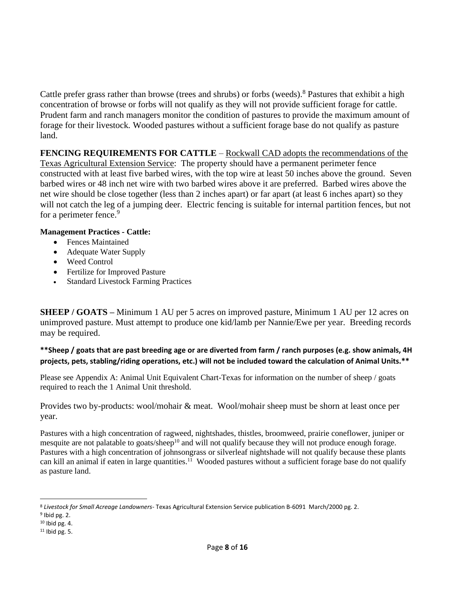Cattle prefer grass rather than browse (trees and shrubs) or forbs (weeds).<sup>8</sup> Pastures that exhibit a high concentration of browse or forbs will not qualify as they will not provide sufficient forage for cattle. Prudent farm and ranch managers monitor the condition of pastures to provide the maximum amount of forage for their livestock*.* Wooded pastures without a sufficient forage base do not qualify as pasture land.

**FENCING REQUIREMENTS FOR CATTLE** – Rockwall CAD adopts the recommendations of the Texas Agricultural Extension Service: The property should have a permanent perimeter fence constructed with at least five barbed wires, with the top wire at least 50 inches above the ground. Seven barbed wires or 48 inch net wire with two barbed wires above it are preferred. Barbed wires above the net wire should be close together (less than 2 inches apart) or far apart (at least 6 inches apart) so they will not catch the leg of a jumping deer. Electric fencing is suitable for internal partition fences, but not for a perimeter fence.<sup>9</sup>

#### **Management Practices - Cattle:**

- Fences Maintained
- Adequate Water Supply
- Weed Control
- Fertilize for Improved Pasture
- Standard Livestock Farming Practices

**SHEEP / GOATS –** Minimum 1 AU per 5 acres on improved pasture, Minimum 1 AU per 12 acres on unimproved pasture. Must attempt to produce one kid/lamb per Nannie/Ewe per year. Breeding records may be required.

**\*\*Sheep / goats that are past breeding age or are diverted from farm / ranch purposes (e.g. show animals, 4H projects, pets, stabling/riding operations, etc.) will not be included toward the calculation of Animal Units.\*\*** 

Please see Appendix A: Animal Unit Equivalent Chart-Texas for information on the number of sheep / goats required to reach the 1 Animal Unit threshold.

Provides two by-products: wool/mohair & meat. Wool/mohair sheep must be shorn at least once per year.

Pastures with a high concentration of ragweed, nightshades, thistles, broomweed, prairie coneflower, juniper or mesquite are not palatable to goats/sheep<sup>10</sup> and will not qualify because they will not produce enough forage. Pastures with a high concentration of johnsongrass or silverleaf nightshade will not qualify because these plants can kill an animal if eaten in large quantities.<sup>11</sup> Wooded pastures without a sufficient forage base do not qualify as pasture land.

<sup>8</sup> *Livestock for Small Acreage Landowners*- Texas Agricultural Extension Service publication B-6091 March/2000 pg. 2.

<sup>&</sup>lt;sup>9</sup> Ibid pg. 2.

<sup>10</sup> Ibid pg. 4.

 $11$  Ibid pg. 5.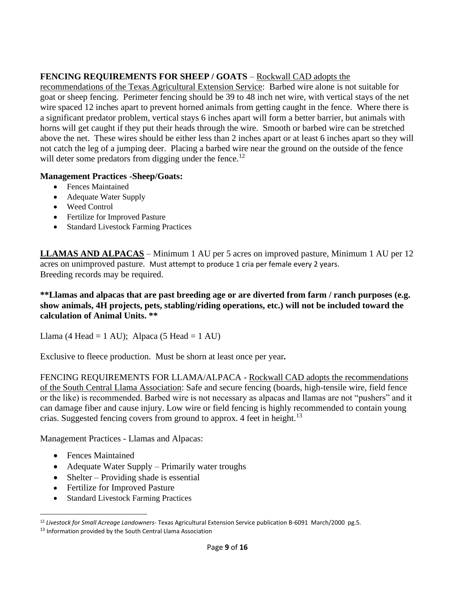#### **FENCING REQUIREMENTS FOR SHEEP / GOATS** – Rockwall CAD adopts the

recommendations of the Texas Agricultural Extension Service: Barbed wire alone is not suitable for goat or sheep fencing. Perimeter fencing should be 39 to 48 inch net wire, with vertical stays of the net wire spaced 12 inches apart to prevent horned animals from getting caught in the fence. Where there is a significant predator problem, vertical stays 6 inches apart will form a better barrier, but animals with horns will get caught if they put their heads through the wire. Smooth or barbed wire can be stretched above the net. These wires should be either less than 2 inches apart or at least 6 inches apart so they will not catch the leg of a jumping deer. Placing a barbed wire near the ground on the outside of the fence will deter some predators from digging under the fence.<sup>12</sup>

#### **Management Practices -Sheep/Goats:**

- Fences Maintained
- Adequate Water Supply
- Weed Control
- Fertilize for Improved Pasture
- Standard Livestock Farming Practices

**LLAMAS AND ALPACAS** – Minimum 1 AU per 5 acres on improved pasture, Minimum 1 AU per 12 acres on unimproved pasture. Must attempt to produce 1 cria per female every 2 years. Breeding records may be required.

#### **\*\*Llamas and alpacas that are past breeding age or are diverted from farm / ranch purposes (e.g. show animals, 4H projects, pets, stabling/riding operations, etc.) will not be included toward the calculation of Animal Units. \*\***

Llama (4 Head = 1 AU); Alpaca (5 Head = 1 AU)

Exclusive to fleece production. Must be shorn at least once per year*.*

FENCING REQUIREMENTS FOR LLAMA/ALPACA - Rockwall CAD adopts the recommendations of the South Central Llama Association: Safe and secure fencing (boards, high-tensile wire, field fence or the like) is recommended. Barbed wire is not necessary as alpacas and llamas are not "pushers" and it can damage fiber and cause injury. Low wire or field fencing is highly recommended to contain young crias. Suggested fencing covers from ground to approx. 4 feet in height.<sup>13</sup>

Management Practices - Llamas and Alpacas:

- Fences Maintained
- Adequate Water Supply Primarily water troughs
- Shelter Providing shade is essential
- Fertilize for Improved Pasture
- Standard Livestock Farming Practices

<sup>12</sup> *Livestock for Small Acreage Landowners-* Texas Agricultural Extension Service publication B-6091 March/2000 pg.5.

<sup>&</sup>lt;sup>13</sup> Information provided by the South Central Llama Association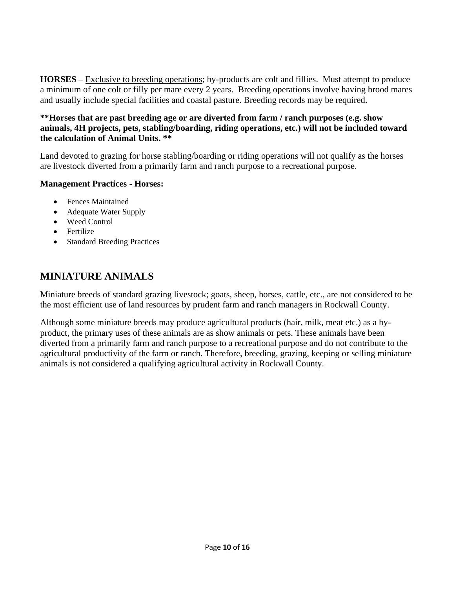**HORSES –** Exclusive to breeding operations; by-products are colt and fillies. Must attempt to produce a minimum of one colt or filly per mare every 2 years. Breeding operations involve having brood mares and usually include special facilities and coastal pasture. Breeding records may be required.

#### **\*\*Horses that are past breeding age or are diverted from farm / ranch purposes (e.g. show animals, 4H projects, pets, stabling/boarding, riding operations, etc.) will not be included toward the calculation of Animal Units. \*\***

Land devoted to grazing for horse stabling/boarding or riding operations will not qualify as the horses are livestock diverted from a primarily farm and ranch purpose to a recreational purpose.

#### **Management Practices - Horses:**

- Fences Maintained
- Adequate Water Supply
- Weed Control
- Fertilize
- Standard Breeding Practices

## **MINIATURE ANIMALS**

Miniature breeds of standard grazing livestock; goats, sheep, horses, cattle, etc., are not considered to be the most efficient use of land resources by prudent farm and ranch managers in Rockwall County.

Although some miniature breeds may produce agricultural products (hair, milk, meat etc.) as a byproduct, the primary uses of these animals are as show animals or pets. These animals have been diverted from a primarily farm and ranch purpose to a recreational purpose and do not contribute to the agricultural productivity of the farm or ranch. Therefore, breeding, grazing, keeping or selling miniature animals is not considered a qualifying agricultural activity in Rockwall County.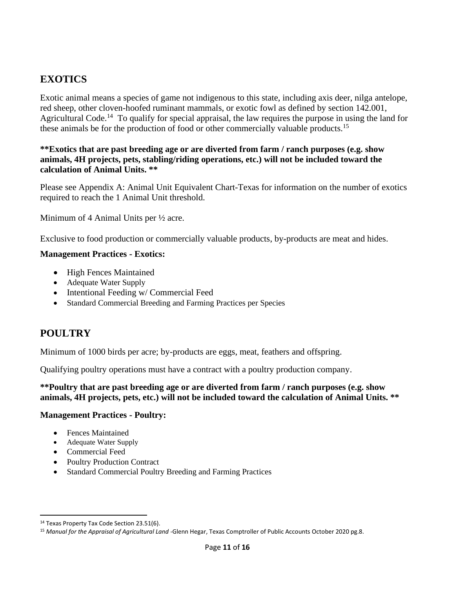## **EXOTICS**

Exotic animal means a species of game not indigenous to this state, including axis deer, nilga antelope, red sheep, other cloven-hoofed ruminant mammals, or exotic fowl as defined by section 142.001, Agricultural Code.<sup>14</sup> To qualify for special appraisal, the law requires the purpose in using the land for these animals be for the production of food or other commercially valuable products.<sup>15</sup>

#### **\*\*Exotics that are past breeding age or are diverted from farm / ranch purposes (e.g. show animals, 4H projects, pets, stabling/riding operations, etc.) will not be included toward the calculation of Animal Units. \*\***

Please see Appendix A: Animal Unit Equivalent Chart-Texas for information on the number of exotics required to reach the 1 Animal Unit threshold.

Minimum of 4 Animal Units per ½ acre.

Exclusive to food production or commercially valuable products, by-products are meat and hides.

#### **Management Practices - Exotics:**

- High Fences Maintained
- Adequate Water Supply
- Intentional Feeding w/ Commercial Feed
- Standard Commercial Breeding and Farming Practices per Species

#### **POULTRY**

Minimum of 1000 birds per acre; by-products are eggs, meat, feathers and offspring.

Qualifying poultry operations must have a contract with a poultry production company.

**\*\*Poultry that are past breeding age or are diverted from farm / ranch purposes (e.g. show animals, 4H projects, pets, etc.) will not be included toward the calculation of Animal Units. \*\***

#### **Management Practices - Poultry:**

- Fences Maintained
- Adequate Water Supply
- Commercial Feed
- Poultry Production Contract
- Standard Commercial Poultry Breeding and Farming Practices

<sup>&</sup>lt;sup>14</sup> Texas Property Tax Code Section 23.51(6).

<sup>15</sup> *Manual for the Appraisal of Agricultural Land* -Glenn Hegar, Texas Comptroller of Public Accounts October 2020 pg.8.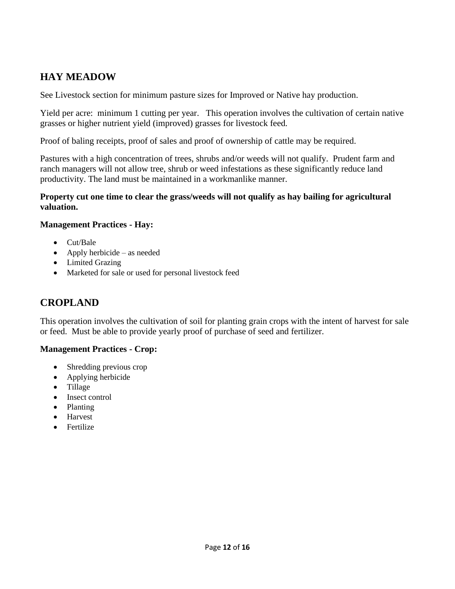## **HAY MEADOW**

See Livestock section for minimum pasture sizes for Improved or Native hay production.

Yield per acre: minimum 1 cutting per year. This operation involves the cultivation of certain native grasses or higher nutrient yield (improved) grasses for livestock feed*.*

Proof of baling receipts, proof of sales and proof of ownership of cattle may be required.

Pastures with a high concentration of trees, shrubs and/or weeds will not qualify. Prudent farm and ranch managers will not allow tree, shrub or weed infestations as these significantly reduce land productivity. The land must be maintained in a workmanlike manner.

#### **Property cut one time to clear the grass/weeds will not qualify as hay bailing for agricultural valuation.**

#### **Management Practices - Hay:**

- Cut/Bale
- Apply herbicide as needed
- Limited Grazing
- Marketed for sale or used for personal livestock feed

## **CROPLAND**

This operation involves the cultivation of soil for planting grain crops with the intent of harvest for sale or feed. Must be able to provide yearly proof of purchase of seed and fertilizer.

#### **Management Practices - Crop:**

- Shredding previous crop
- Applying herbicide
- Tillage
- Insect control
- Planting
- Harvest
- Fertilize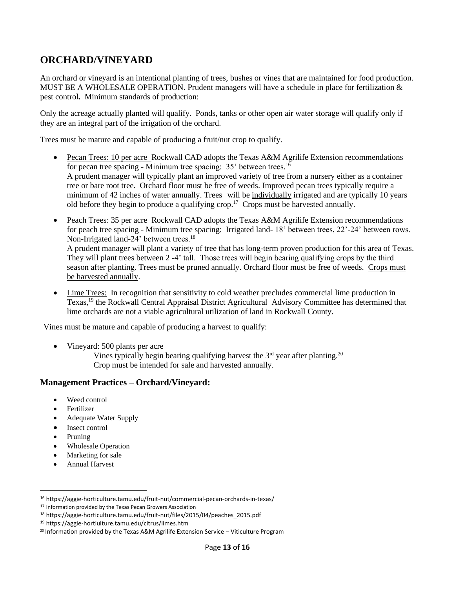## **ORCHARD/VINEYARD**

An orchard or vineyard is an intentional planting of trees, bushes or vines that are maintained for food production. MUST BE A WHOLESALE OPERATION. Prudent managers will have a schedule in place for fertilization & pest control*.* Minimum standards of production:

Only the acreage actually planted will qualify. Ponds, tanks or other open air water storage will qualify only if they are an integral part of the irrigation of the orchard.

Trees must be mature and capable of producing a fruit/nut crop to qualify.

- Pecan Trees: 10 per acre Rockwall CAD adopts the Texas A&M Agrilife Extension recommendations for pecan tree spacing - Minimum tree spacing: 35' between trees.<sup>16</sup> A prudent manager will typically plant an improved variety of tree from a nursery either as a container tree or bare root tree. Orchard floor must be free of weeds. Improved pecan trees typically require a minimum of 42 inches of water annually. Trees will be individually irrigated and are typically 10 years old before they begin to produce a qualifying crop.<sup>17</sup> Crops must be harvested annually.
- Peach Trees: 35 per acre Rockwall CAD adopts the Texas A&M Agrilife Extension recommendations for peach tree spacing - Minimum tree spacing: Irrigated land- 18' between trees, 22'-24' between rows. Non-Irrigated land-24' between trees.<sup>18</sup> A prudent manager will plant a variety of tree that has long-term proven production for this area of Texas. They will plant trees between 2 -4' tall. Those trees will begin bearing qualifying crops by the third season after planting. Trees must be pruned annually. Orchard floor must be free of weeds. Crops must be harvested annually.
- Lime Trees: In recognition that sensitivity to cold weather precludes commercial lime production in Texas, <sup>19</sup> the Rockwall Central Appraisal District Agricultural Advisory Committee has determined that lime orchards are not a viable agricultural utilization of land in Rockwall County.

Vines must be mature and capable of producing a harvest to qualify:

• Vineyard: 500 plants per acre

Vines typically begin bearing qualifying harvest the  $3<sup>rd</sup>$  year after planting.<sup>20</sup> Crop must be intended for sale and harvested annually.

#### **Management Practices – Orchard/Vineyard:**

- Weed control
- **Fertilizer**
- Adequate Water Supply
- Insect control
- Pruning
- Wholesale Operation
- Marketing for sale
- Annual Harvest

<sup>16</sup> https://aggie-horticulture.tamu.edu/fruit-nut/commercial-pecan-orchards-in-texas/

<sup>&</sup>lt;sup>17</sup> Information provided by the Texas Pecan Growers Association

<sup>18</sup> https://aggie-horticulture.tamu.edu/fruit-nut/files/2015/04/peaches\_2015.pdf

<sup>19</sup> https://aggie-hortiulture.tamu.edu/citrus/limes.htm

<sup>&</sup>lt;sup>20</sup> Information provided by the Texas A&M Agrilife Extension Service - Viticulture Program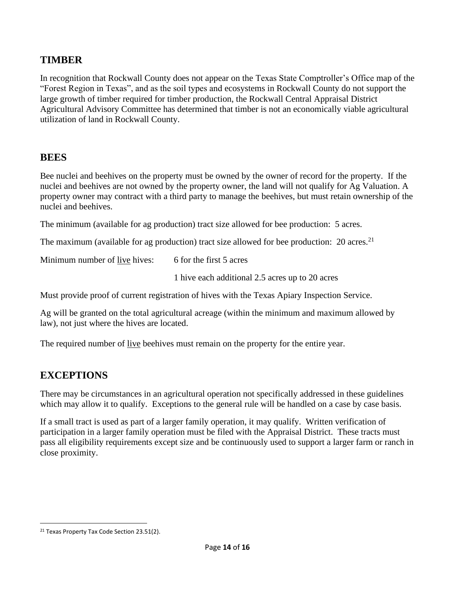### **TIMBER**

In recognition that Rockwall County does not appear on the Texas State Comptroller's Office map of the "Forest Region in Texas", and as the soil types and ecosystems in Rockwall County do not support the large growth of timber required for timber production, the Rockwall Central Appraisal District Agricultural Advisory Committee has determined that timber is not an economically viable agricultural utilization of land in Rockwall County.

#### **BEES**

Bee nuclei and beehives on the property must be owned by the owner of record for the property. If the nuclei and beehives are not owned by the property owner, the land will not qualify for Ag Valuation. A property owner may contract with a third party to manage the beehives, but must retain ownership of the nuclei and beehives.

The minimum (available for ag production) tract size allowed for bee production: 5 acres.

The maximum (available for ag production) tract size allowed for bee production: 20 acres.<sup>21</sup>

Minimum number of live hives: 6 for the first 5 acres

1 hive each additional 2.5 acres up to 20 acres

Must provide proof of current registration of hives with the Texas Apiary Inspection Service.

Ag will be granted on the total agricultural acreage (within the minimum and maximum allowed by law), not just where the hives are located.

The required number of live beehives must remain on the property for the entire year.

## **EXCEPTIONS**

There may be circumstances in an agricultural operation not specifically addressed in these guidelines which may allow it to qualify. Exceptions to the general rule will be handled on a case by case basis.

If a small tract is used as part of a larger family operation, it may qualify. Written verification of participation in a larger family operation must be filed with the Appraisal District. These tracts must pass all eligibility requirements except size and be continuously used to support a larger farm or ranch in close proximity.

<sup>&</sup>lt;sup>21</sup> Texas Property Tax Code Section 23.51(2).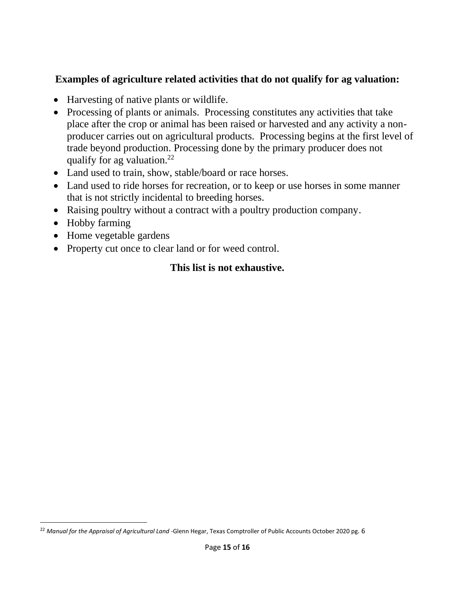## **Examples of agriculture related activities that do not qualify for ag valuation:**

- Harvesting of native plants or wildlife.
- Processing of plants or animals. Processing constitutes any activities that take place after the crop or animal has been raised or harvested and any activity a nonproducer carries out on agricultural products. Processing begins at the first level of trade beyond production. Processing done by the primary producer does not qualify for ag valuation.<sup>22</sup>
- Land used to train, show, stable/board or race horses.
- Land used to ride horses for recreation, or to keep or use horses in some manner that is not strictly incidental to breeding horses.
- Raising poultry without a contract with a poultry production company.
- Hobby farming
- Home vegetable gardens
- Property cut once to clear land or for weed control.

## **This list is not exhaustive.**

<sup>22</sup> *Manual for the Appraisal of Agricultural Land* -Glenn Hegar, Texas Comptroller of Public Accounts October 2020 pg. 6